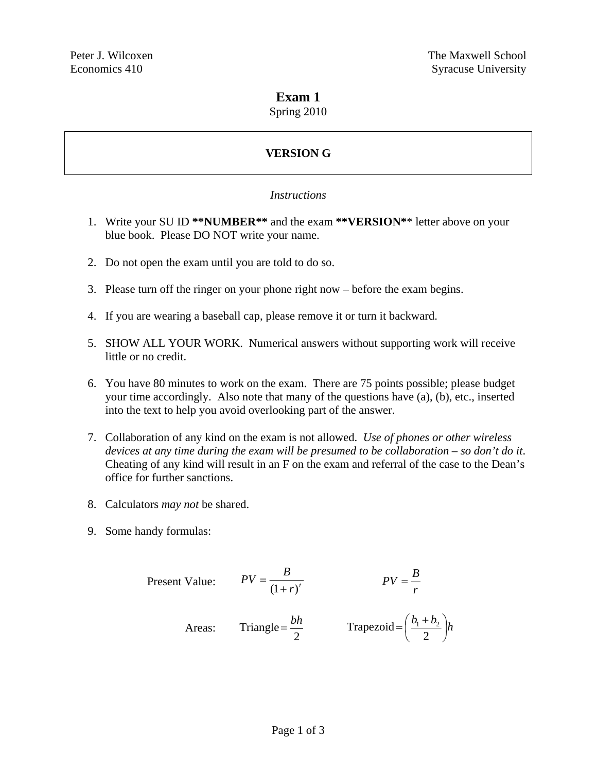### **Exam 1**

Spring 2010

# **VERSION G**

#### *Instructions*

- 1. Write your SU ID **\*\*NUMBER\*\*** and the exam **\*\*VERSION\***\* letter above on your blue book. Please DO NOT write your name.
- 2. Do not open the exam until you are told to do so.
- 3. Please turn off the ringer on your phone right now before the exam begins.
- 4. If you are wearing a baseball cap, please remove it or turn it backward.
- 5. SHOW ALL YOUR WORK. Numerical answers without supporting work will receive little or no credit.
- 6. You have 80 minutes to work on the exam. There are 75 points possible; please budget your time accordingly. Also note that many of the questions have (a), (b), etc., inserted into the text to help you avoid overlooking part of the answer.
- 7. Collaboration of any kind on the exam is not allowed. *Use of phones or other wireless devices at any time during the exam will be presumed to be collaboration – so don't do it*. Cheating of any kind will result in an F on the exam and referral of the case to the Dean's office for further sanctions.
- 8. Calculators *may not* be shared.
- 9. Some handy formulas:

Present Value: 
$$
PV = \frac{B}{(1+r)^t}
$$
  $PV = \frac{B}{r}$   
Areas: Triangle =  $\frac{bh}{2}$  Trapezoid =  $(\frac{b_1 + b_2}{2})h$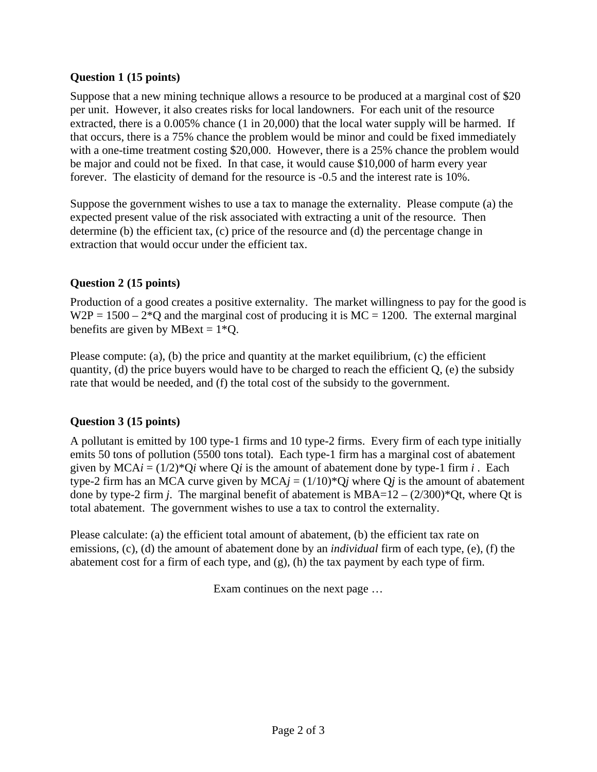#### **Question 1 (15 points)**

Suppose that a new mining technique allows a resource to be produced at a marginal cost of \$20 per unit. However, it also creates risks for local landowners. For each unit of the resource extracted, there is a 0.005% chance (1 in 20,000) that the local water supply will be harmed. If that occurs, there is a 75% chance the problem would be minor and could be fixed immediately with a one-time treatment costing \$20,000. However, there is a 25% chance the problem would be major and could not be fixed. In that case, it would cause \$10,000 of harm every year forever. The elasticity of demand for the resource is -0.5 and the interest rate is 10%.

Suppose the government wishes to use a tax to manage the externality. Please compute (a) the expected present value of the risk associated with extracting a unit of the resource. Then determine (b) the efficient tax, (c) price of the resource and (d) the percentage change in extraction that would occur under the efficient tax.

### **Question 2 (15 points)**

Production of a good creates a positive externality. The market willingness to pay for the good is  $W2P = 1500 - 2*Q$  and the marginal cost of producing it is  $MC = 1200$ . The external marginal benefits are given by MBext =  $1*Q$ .

Please compute: (a), (b) the price and quantity at the market equilibrium, (c) the efficient quantity, (d) the price buyers would have to be charged to reach the efficient  $Q$ , (e) the subsidy rate that would be needed, and (f) the total cost of the subsidy to the government.

## **Question 3 (15 points)**

A pollutant is emitted by 100 type-1 firms and 10 type-2 firms. Every firm of each type initially emits 50 tons of pollution (5500 tons total). Each type-1 firm has a marginal cost of abatement given by MCA $i = (1/2)^*Q_i$  where Q*i* is the amount of abatement done by type-1 firm  $i$ . Each type-2 firm has an MCA curve given by MCA $j = (1/10)^*Qj$  where Q $j$  is the amount of abatement done by type-2 firm *j*. The marginal benefit of abatement is  $MBA=12-(2/300)*$  Qt, where Qt is total abatement. The government wishes to use a tax to control the externality.

Please calculate: (a) the efficient total amount of abatement, (b) the efficient tax rate on emissions, (c), (d) the amount of abatement done by an *individual* firm of each type, (e), (f) the abatement cost for a firm of each type, and (g), (h) the tax payment by each type of firm.

Exam continues on the next page …